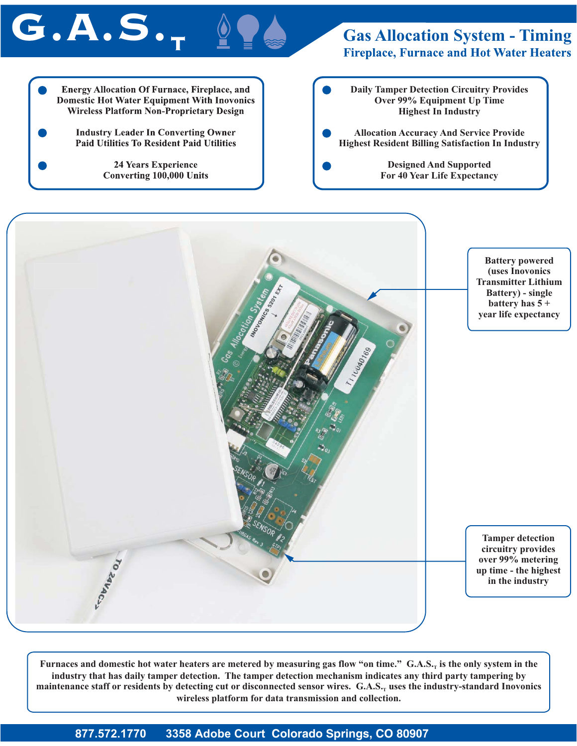## $G.A.S.$

#### **Gas Allocation System - Timing Fireplace, Furnace and Hot Water Heaters**

**Energy Allocation Of Furnace, Fireplace, and Daily Tamper Detection Circuitry Provides Domestic Hot Water Equipment With Inovonics Over 99% Equipment Up Time Wireless Platform Non-Proprietary Design Highest In Industry Industry Leader In Converting Owner Allocation Accuracy And Service Provide Paid Utilities To Resident Paid Utilities Highest Resident Billing Satisfaction In Industry** 24 Years Experience **Designed And Supported Converting 100,000 Units For 40 Year Life Expectancy**



Furnaces and domestic hot water heaters are metered by measuring gas flow "on time." G.A.S., is the only system in the **industry that has daily tamper detection. The tamper detection mechanism indicates any third party tampering by** maintenance staff or residents by detecting cut or disconnected sensor wires. G.A.S., uses the industry-standard Inovonics **wireless platform for data transmission and collection.**

**877.572.1770 3358 Adobe Court Colorado Springs, CO 80907**